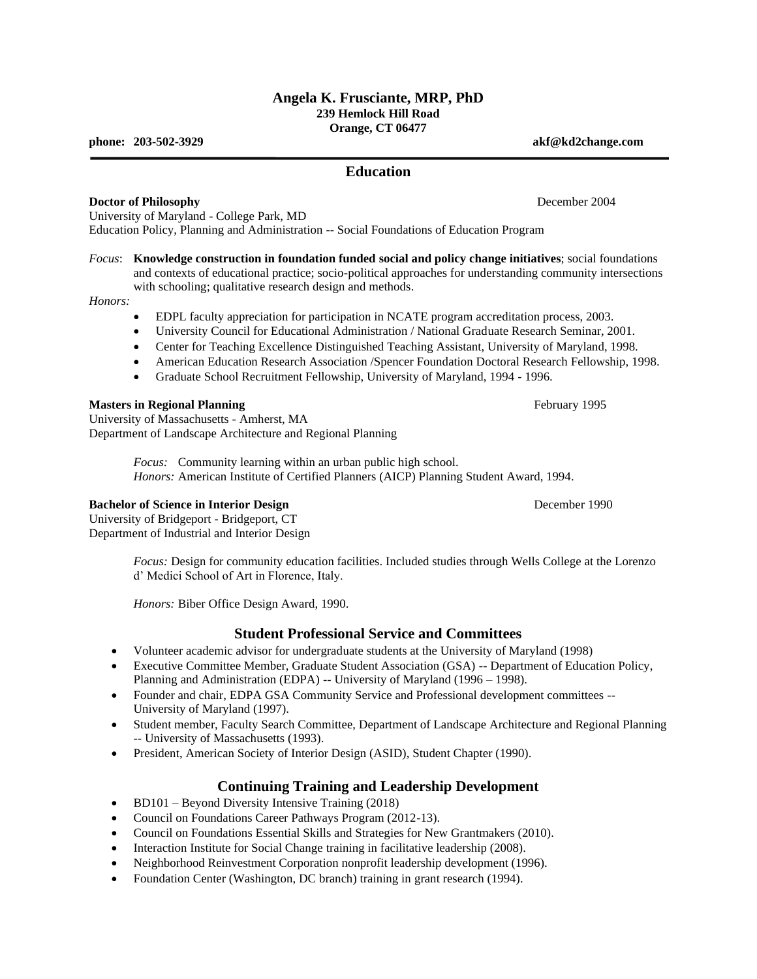## **Angela K. Frusciante, MRP, PhD 239 Hemlock Hill Road Orange, CT 06477**

**phone: 203-502-3929 akf@kd2change.com**

## **Education**

## **Doctor of Philosophy December 2004**

University of Maryland - College Park, MD Education Policy, Planning and Administration -- Social Foundations of Education Program

*Focus*: **Knowledge construction in foundation funded social and policy change initiatives**; social foundations and contexts of educational practice; socio-political approaches for understanding community intersections with schooling; qualitative research design and methods.

## *Honors:*

- EDPL faculty appreciation for participation in NCATE program accreditation process, 2003.
- University Council for Educational Administration / National Graduate Research Seminar, 2001.
- Center for Teaching Excellence Distinguished Teaching Assistant, University of Maryland, 1998.
- American Education Research Association / Spencer Foundation Doctoral Research Fellowship, 1998.
- Graduate School Recruitment Fellowship, University of Maryland, 1994 1996.

## **Masters in Regional Planning** February 1995

University of Massachusetts - Amherst, MA Department of Landscape Architecture and Regional Planning

> *Focus:* Community learning within an urban public high school. *Honors:* American Institute of Certified Planners (AICP) Planning Student Award, 1994.

#### **Bachelor of Science in Interior Design Server 2008** December 1990

University of Bridgeport - Bridgeport, CT Department of Industrial and Interior Design

> *Focus:* Design for community education facilities. Included studies through Wells College at the Lorenzo d' Medici School of Art in Florence, Italy.

*Honors:* Biber Office Design Award, 1990.

## **Student Professional Service and Committees**

- Volunteer academic advisor for undergraduate students at the University of Maryland (1998)
- Executive Committee Member, Graduate Student Association (GSA) -- Department of Education Policy, Planning and Administration (EDPA) -- University of Maryland (1996 - 1998).
- Founder and chair, EDPA GSA Community Service and Professional development committees -- University of Maryland (1997).
- Student member, Faculty Search Committee, Department of Landscape Architecture and Regional Planning -- University of Massachusetts (1993).
- President, American Society of Interior Design (ASID), Student Chapter (1990).

# **Continuing Training and Leadership Development**

- BD101 Beyond Diversity Intensive Training (2018)
- Council on Foundations Career Pathways Program (2012-13).
- Council on Foundations Essential Skills and Strategies for New Grantmakers (2010).
- Interaction Institute for Social Change training in facilitative leadership (2008).
- Neighborhood Reinvestment Corporation nonprofit leadership development (1996).
- Foundation Center (Washington, DC branch) training in grant research (1994).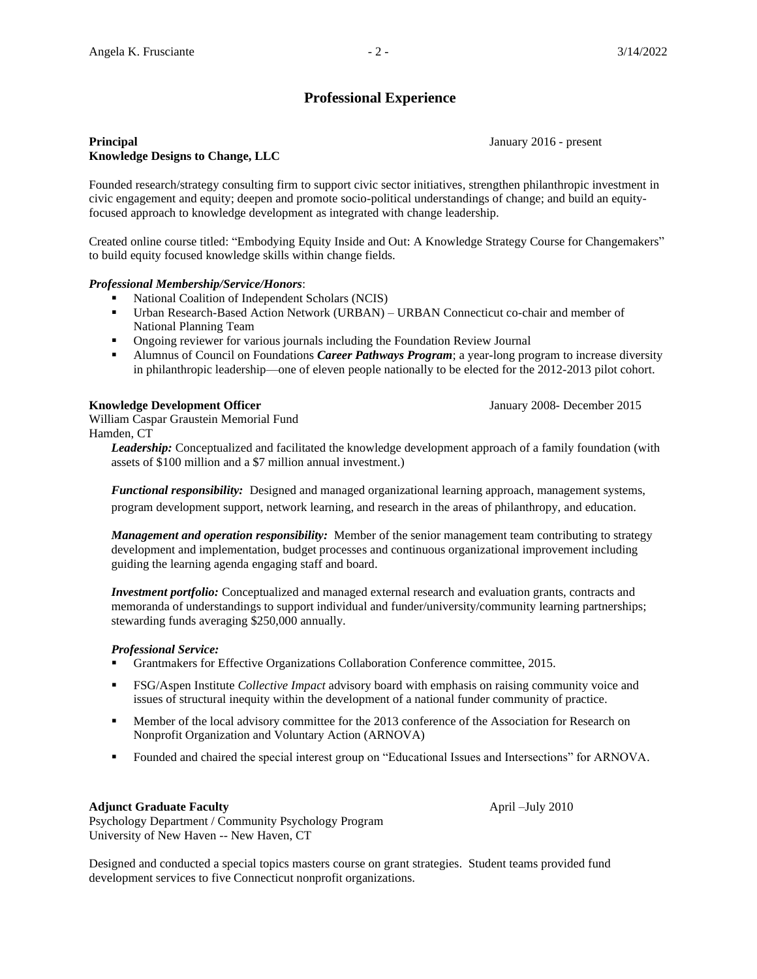# **Professional Experience**

## **Principal** January 2016 - present **Knowledge Designs to Change, LLC**

Founded research/strategy consulting firm to support civic sector initiatives, strengthen philanthropic investment in civic engagement and equity; deepen and promote socio-political understandings of change; and build an equityfocused approach to knowledge development as integrated with change leadership.

Created online course titled: "Embodying Equity Inside and Out: A Knowledge Strategy Course for Changemakers" to build equity focused knowledge skills within change fields.

## *Professional Membership/Service/Honors*:

- National Coalition of Independent Scholars (NCIS)
- Urban Research-Based Action Network (URBAN) URBAN Connecticut co-chair and member of National Planning Team
- **•** Ongoing reviewer for various journals including the Foundation Review Journal
- **EXECT** Alumnus of Council on Foundations *Career Pathways Program*; a year-long program to increase diversity in philanthropic leadership—one of eleven people nationally to be elected for the 2012-2013 pilot cohort.

## **Knowledge Development Officer January 2008- December 2015**

William Caspar Graustein Memorial Fund Hamden, CT

> *Leadership:* Conceptualized and facilitated the knowledge development approach of a family foundation (with assets of \$100 million and a \$7 million annual investment.)

*Functional responsibility:* Designed and managed organizational learning approach, management systems, program development support, network learning, and research in the areas of philanthropy, and education.

*Management and operation responsibility:* Member of the senior management team contributing to strategy development and implementation, budget processes and continuous organizational improvement including guiding the learning agenda engaging staff and board.

*Investment portfolio:* Conceptualized and managed external research and evaluation grants, contracts and memoranda of understandings to support individual and funder/university/community learning partnerships; stewarding funds averaging \$250,000 annually.

## *Professional Service:*

- Grantmakers for Effective Organizations Collaboration Conference committee, 2015.
- FSG/Aspen Institute *Collective Impact* advisory board with emphasis on raising community voice and issues of structural inequity within the development of a national funder community of practice.
- **•** Member of the local advisory committee for the 2013 conference of the Association for Research on Nonprofit Organization and Voluntary Action (ARNOVA)
- Founded and chaired the special interest group on "Educational Issues and Intersections" for ARNOVA.

#### **Adjunct Graduate Faculty** April –July 2010

Psychology Department / Community Psychology Program University of New Haven -- New Haven, CT

Designed and conducted a special topics masters course on grant strategies. Student teams provided fund development services to five Connecticut nonprofit organizations.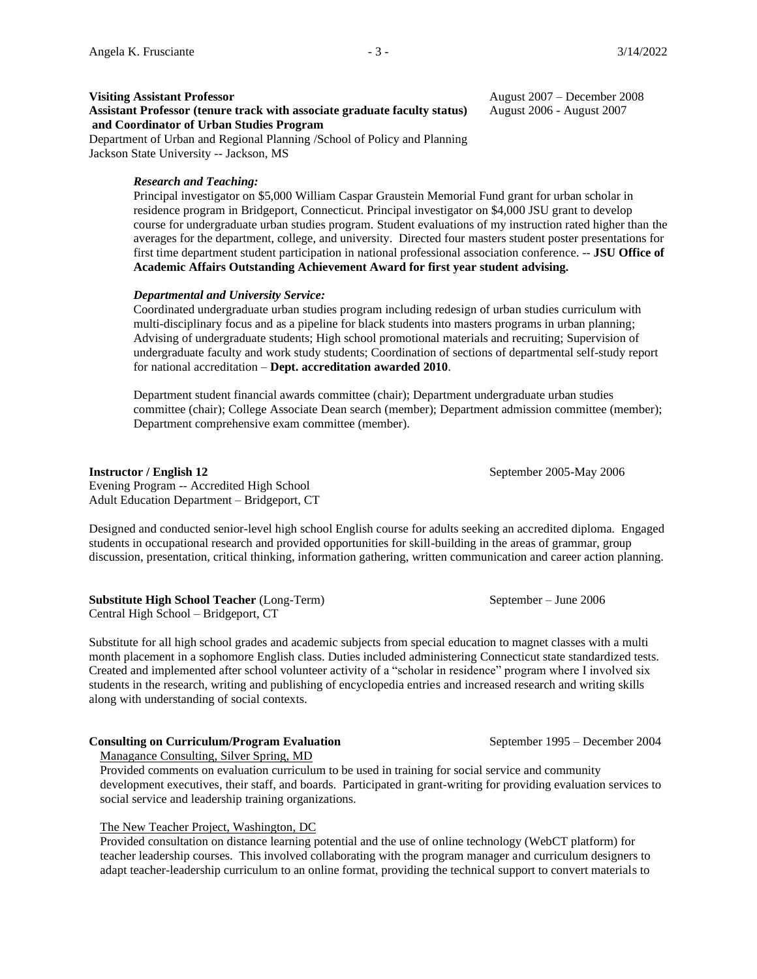**Assistant Professor (tenure track with associate graduate faculty status)** August 2006 - August 2007 **and Coordinator of Urban Studies Program**

Department of Urban and Regional Planning /School of Policy and Planning Jackson State University -- Jackson, MS

#### *Research and Teaching:*

Principal investigator on \$5,000 William Caspar Graustein Memorial Fund grant for urban scholar in residence program in Bridgeport, Connecticut. Principal investigator on \$4,000 JSU grant to develop course for undergraduate urban studies program. Student evaluations of my instruction rated higher than the averages for the department, college, and university. Directed four masters student poster presentations for first time department student participation in national professional association conference. -- **JSU Office of Academic Affairs Outstanding Achievement Award for first year student advising.**

#### *Departmental and University Service:*

Coordinated undergraduate urban studies program including redesign of urban studies curriculum with multi-disciplinary focus and as a pipeline for black students into masters programs in urban planning; Advising of undergraduate students; High school promotional materials and recruiting; Supervision of undergraduate faculty and work study students; Coordination of sections of departmental self-study report for national accreditation – **Dept. accreditation awarded 2010**.

Department student financial awards committee (chair); Department undergraduate urban studies committee (chair); College Associate Dean search (member); Department admission committee (member); Department comprehensive exam committee (member).

#### **Instructor / English 12** September 2005-May 2006

Evening Program -- Accredited High School Adult Education Department – Bridgeport, CT

Designed and conducted senior-level high school English course for adults seeking an accredited diploma. Engaged students in occupational research and provided opportunities for skill-building in the areas of grammar, group discussion, presentation, critical thinking, information gathering, written communication and career action planning.

**Substitute High School Teacher** (Long-Term) September – June 2006 Central High School – Bridgeport, CT

Substitute for all high school grades and academic subjects from special education to magnet classes with a multi month placement in a sophomore English class. Duties included administering Connecticut state standardized tests. Created and implemented after school volunteer activity of a "scholar in residence" program where I involved six students in the research, writing and publishing of encyclopedia entries and increased research and writing skills along with understanding of social contexts.

#### **Consulting on Curriculum/Program Evaluation** September 1995 – December 2004

Managance Consulting, Silver Spring, MD

Provided comments on evaluation curriculum to be used in training for social service and community development executives, their staff, and boards. Participated in grant-writing for providing evaluation services to social service and leadership training organizations.

#### The New Teacher Project, Washington, DC

Provided consultation on distance learning potential and the use of online technology (WebCT platform) for teacher leadership courses. This involved collaborating with the program manager and curriculum designers to adapt teacher-leadership curriculum to an online format, providing the technical support to convert materials to

**Visiting Assistant Professor August 2007** – December 2008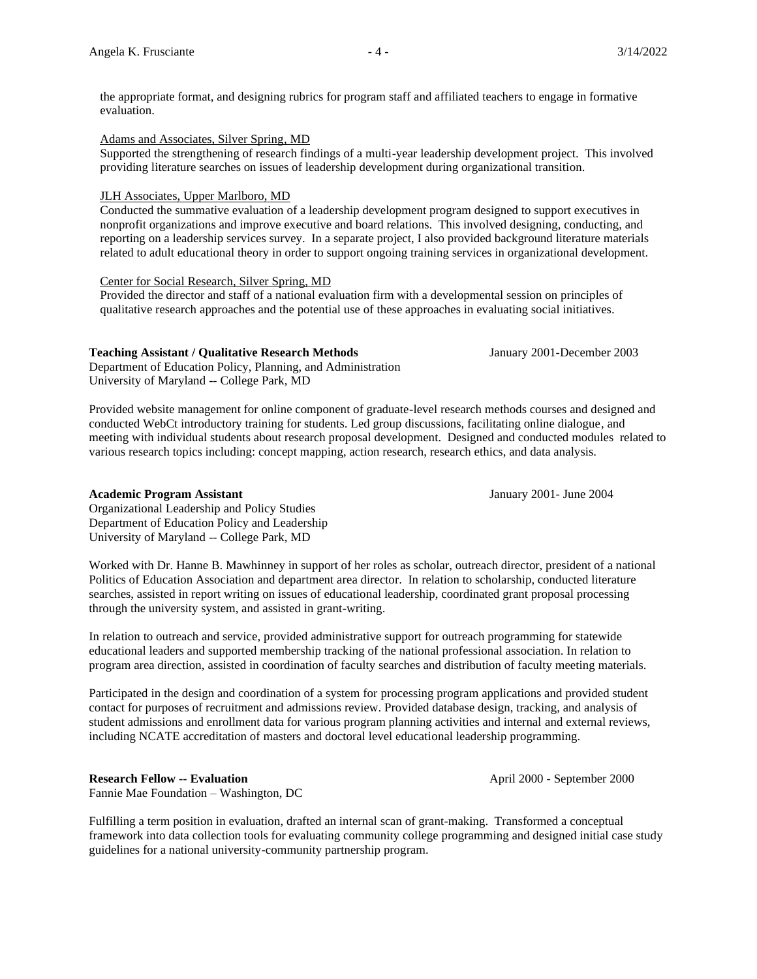the appropriate format, and designing rubrics for program staff and affiliated teachers to engage in formative evaluation.

#### Adams and Associates, Silver Spring, MD

Supported the strengthening of research findings of a multi-year leadership development project. This involved providing literature searches on issues of leadership development during organizational transition.

## JLH Associates, Upper Marlboro, MD

Conducted the summative evaluation of a leadership development program designed to support executives in nonprofit organizations and improve executive and board relations. This involved designing, conducting, and reporting on a leadership services survey. In a separate project, I also provided background literature materials related to adult educational theory in order to support ongoing training services in organizational development.

#### Center for Social Research, Silver Spring, MD

Provided the director and staff of a national evaluation firm with a developmental session on principles of qualitative research approaches and the potential use of these approaches in evaluating social initiatives.

#### **Teaching Assistant / Qualitative Research Methods** January 2001-December 2003

Department of Education Policy, Planning, and Administration University of Maryland -- College Park, MD

Provided website management for online component of graduate-level research methods courses and designed and conducted WebCt introductory training for students. Led group discussions, facilitating online dialogue, and meeting with individual students about research proposal development. Designed and conducted modules related to various research topics including: concept mapping, action research, research ethics, and data analysis.

#### **Academic Program Assistant** January 2001- June 2004

Organizational Leadership and Policy Studies Department of Education Policy and Leadership University of Maryland -- College Park, MD

Worked with Dr. Hanne B. Mawhinney in support of her roles as scholar, outreach director, president of a national Politics of Education Association and department area director. In relation to scholarship, conducted literature searches, assisted in report writing on issues of educational leadership, coordinated grant proposal processing through the university system, and assisted in grant-writing.

In relation to outreach and service, provided administrative support for outreach programming for statewide educational leaders and supported membership tracking of the national professional association. In relation to program area direction, assisted in coordination of faculty searches and distribution of faculty meeting materials.

Participated in the design and coordination of a system for processing program applications and provided student contact for purposes of recruitment and admissions review. Provided database design, tracking, and analysis of student admissions and enrollment data for various program planning activities and internal and external reviews, including NCATE accreditation of masters and doctoral level educational leadership programming.

## **Research Fellow -- Evaluation April 2000 - September 2000**

Fannie Mae Foundation – Washington, DC

Fulfilling a term position in evaluation, drafted an internal scan of grant-making. Transformed a conceptual framework into data collection tools for evaluating community college programming and designed initial case study guidelines for a national university-community partnership program.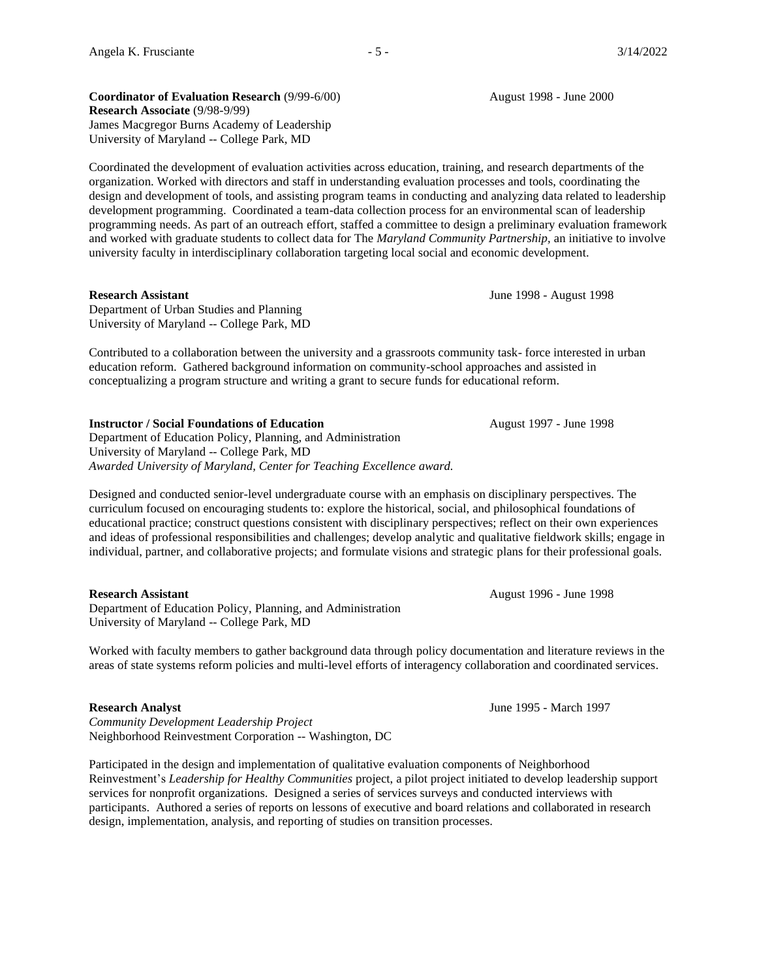**Coordinator of Evaluation Research (9/99-6/00)** August 1998 - June 2000 **Research Associate** (9/98-9/99) James Macgregor Burns Academy of Leadership University of Maryland -- College Park, MD

Coordinated the development of evaluation activities across education, training, and research departments of the organization. Worked with directors and staff in understanding evaluation processes and tools, coordinating the design and development of tools, and assisting program teams in conducting and analyzing data related to leadership development programming. Coordinated a team-data collection process for an environmental scan of leadership programming needs. As part of an outreach effort, staffed a committee to design a preliminary evaluation framework and worked with graduate students to collect data for The *Maryland Community Partnership,* an initiative to involve university faculty in interdisciplinary collaboration targeting local social and economic development.

#### **Research Assistant** June 1998 - August 1998

Department of Urban Studies and Planning University of Maryland -- College Park, MD

Contributed to a collaboration between the university and a grassroots community task- force interested in urban education reform. Gathered background information on community-school approaches and assisted in conceptualizing a program structure and writing a grant to secure funds for educational reform.

#### **Instructor / Social Foundations of Education** August 1997 - June 1998

Department of Education Policy, Planning, and Administration University of Maryland -- College Park, MD *Awarded University of Maryland, Center for Teaching Excellence award.*

Designed and conducted senior-level undergraduate course with an emphasis on disciplinary perspectives. The curriculum focused on encouraging students to: explore the historical, social, and philosophical foundations of educational practice; construct questions consistent with disciplinary perspectives; reflect on their own experiences and ideas of professional responsibilities and challenges; develop analytic and qualitative fieldwork skills; engage in individual, partner, and collaborative projects; and formulate visions and strategic plans for their professional goals.

#### **Research Assistant** August 1996 - June 1998

Department of Education Policy, Planning, and Administration University of Maryland -- College Park, MD

Worked with faculty members to gather background data through policy documentation and literature reviews in the areas of state systems reform policies and multi-level efforts of interagency collaboration and coordinated services.

*Community Development Leadership Project* Neighborhood Reinvestment Corporation -- Washington, DC

Participated in the design and implementation of qualitative evaluation components of Neighborhood Reinvestment's *Leadership for Healthy Communities* project, a pilot project initiated to develop leadership support services for nonprofit organizations. Designed a series of services surveys and conducted interviews with participants. Authored a series of reports on lessons of executive and board relations and collaborated in research design, implementation, analysis, and reporting of studies on transition processes.

**Research Analyst** June 1995 - March 1997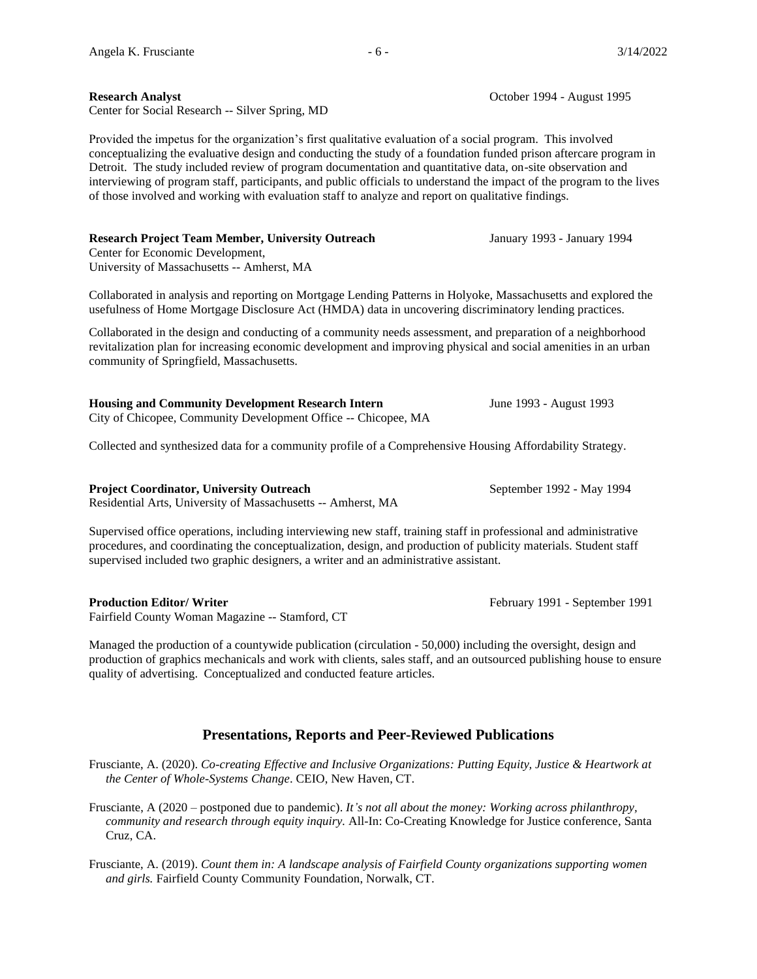### **Research Analyst Constanting Constanting Constanting Constanting Constanting October 1994 - August 1995**

Center for Social Research -- Silver Spring, MD

Provided the impetus for the organization's first qualitative evaluation of a social program. This involved conceptualizing the evaluative design and conducting the study of a foundation funded prison aftercare program in Detroit. The study included review of program documentation and quantitative data, on-site observation and interviewing of program staff, participants, and public officials to understand the impact of the program to the lives of those involved and working with evaluation staff to analyze and report on qualitative findings.

## **Research Project Team Member, University Outreach** January 1993 - January 1994

Center for Economic Development, University of Massachusetts -- Amherst, MA

Collaborated in analysis and reporting on Mortgage Lending Patterns in Holyoke, Massachusetts and explored the usefulness of Home Mortgage Disclosure Act (HMDA) data in uncovering discriminatory lending practices.

Collaborated in the design and conducting of a community needs assessment, and preparation of a neighborhood revitalization plan for increasing economic development and improving physical and social amenities in an urban community of Springfield, Massachusetts.

**Housing and Community Development Research Intern** June 1993 - August 1993 City of Chicopee, Community Development Office -- Chicopee, MA

Collected and synthesized data for a community profile of a Comprehensive Housing Affordability Strategy.

## **Project Coordinator, University Outreach September 1992 - May 1994**

Residential Arts, University of Massachusetts -- Amherst, MA

Supervised office operations, including interviewing new staff, training staff in professional and administrative procedures, and coordinating the conceptualization, design, and production of publicity materials. Student staff supervised included two graphic designers, a writer and an administrative assistant.

## **Production Editor/ Writer** February 1991 - September 1991

Fairfield County Woman Magazine -- Stamford, CT

Managed the production of a countywide publication (circulation - 50,000) including the oversight, design and production of graphics mechanicals and work with clients, sales staff, and an outsourced publishing house to ensure quality of advertising. Conceptualized and conducted feature articles.

## **Presentations, Reports and Peer-Reviewed Publications**

Frusciante, A. (2020). *Co-creating Effective and Inclusive Organizations: Putting Equity, Justice & Heartwork at the Center of Whole-Systems Change*. CEIO, New Haven, CT.

Frusciante, A (2020 – postponed due to pandemic). *It's not all about the money: Working across philanthropy, community and research through equity inquiry.* All-In: Co-Creating Knowledge for Justice conference, Santa Cruz, CA.

Frusciante, A. (2019). *Count them in: A landscape analysis of Fairfield County organizations supporting women and girls.* Fairfield County Community Foundation, Norwalk, CT.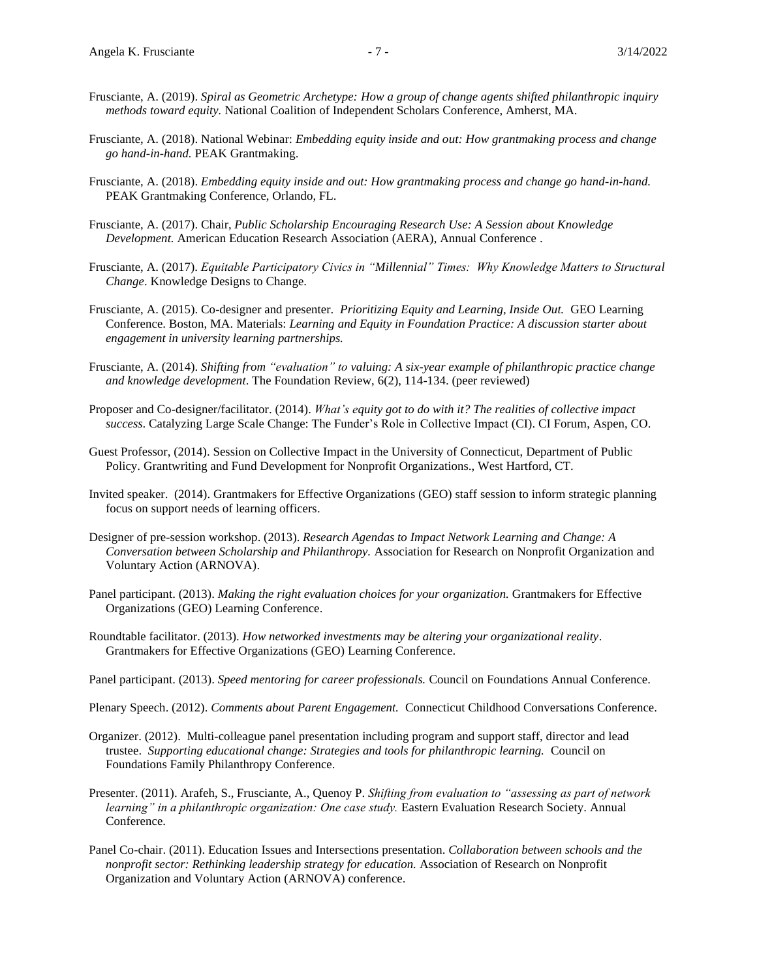- Frusciante, A. (2019). *Spiral as Geometric Archetype: How a group of change agents shifted philanthropic inquiry methods toward equity.* National Coalition of Independent Scholars Conference, Amherst, MA.
- Frusciante, A. (2018). National Webinar: *Embedding equity inside and out: How grantmaking process and change go hand-in-hand.* PEAK Grantmaking.
- Frusciante, A. (2018). *Embedding equity inside and out: How grantmaking process and change go hand-in-hand.* PEAK Grantmaking Conference, Orlando, FL.
- Frusciante, A. (2017). Chair, *Public Scholarship Encouraging Research Use: A Session about Knowledge Development.* American Education Research Association (AERA), Annual Conference .
- Frusciante, A. (2017). *Equitable Participatory Civics in "Millennial" Times: Why Knowledge Matters to Structural Change*. Knowledge Designs to Change.
- Frusciante, A. (2015). Co-designer and presenter. *Prioritizing Equity and Learning, Inside Out.* GEO Learning Conference. Boston, MA. Materials: *Learning and Equity in Foundation Practice: A discussion starter about engagement in university learning partnerships.*
- Frusciante, A. (2014). *Shifting from "evaluation" to valuing: A six-year example of philanthropic practice change and knowledge development*. The Foundation Review, 6(2), 114-134. (peer reviewed)
- Proposer and Co-designer/facilitator. (2014). *What's equity got to do with it? The realities of collective impact success*. Catalyzing Large Scale Change: The Funder's Role in Collective Impact (CI). CI Forum, Aspen, CO.
- Guest Professor, (2014). Session on Collective Impact in the University of Connecticut, Department of Public Policy. Grantwriting and Fund Development for Nonprofit Organizations., West Hartford, CT.
- Invited speaker. (2014). Grantmakers for Effective Organizations (GEO) staff session to inform strategic planning focus on support needs of learning officers.
- Designer of pre-session workshop. (2013). *Research Agendas to Impact Network Learning and Change: A Conversation between Scholarship and Philanthropy.* Association for Research on Nonprofit Organization and Voluntary Action (ARNOVA).
- Panel participant. (2013). *Making the right evaluation choices for your organization.* Grantmakers for Effective Organizations (GEO) Learning Conference.
- Roundtable facilitator. (2013). *How networked investments may be altering your organizational reality*. Grantmakers for Effective Organizations (GEO) Learning Conference.

Panel participant. (2013). *Speed mentoring for career professionals.* Council on Foundations Annual Conference.

- Plenary Speech. (2012). *Comments about Parent Engagement.* Connecticut Childhood Conversations Conference.
- Organizer. (2012). Multi-colleague panel presentation including program and support staff, director and lead trustee. *Supporting educational change: Strategies and tools for philanthropic learning.* Council on Foundations Family Philanthropy Conference.
- Presenter. (2011). Arafeh, S., Frusciante, A., Quenoy P. *Shifting from evaluation to "assessing as part of network learning" in a philanthropic organization: One case study.* Eastern Evaluation Research Society. Annual Conference.
- Panel Co-chair. (2011). Education Issues and Intersections presentation. *Collaboration between schools and the nonprofit sector: Rethinking leadership strategy for education.* Association of Research on Nonprofit Organization and Voluntary Action (ARNOVA) conference.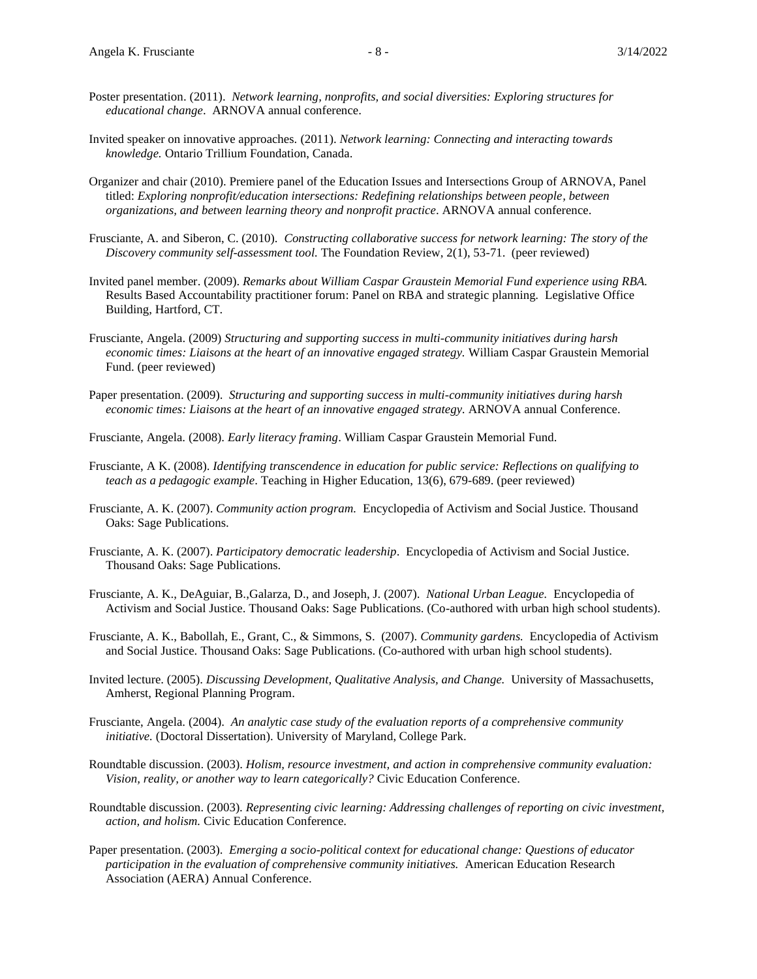- Poster presentation. (2011). *Network learning, nonprofits, and social diversities: Exploring structures for educational change*. ARNOVA annual conference.
- Invited speaker on innovative approaches. (2011). *Network learning: Connecting and interacting towards knowledge.* Ontario Trillium Foundation, Canada.
- Organizer and chair (2010). Premiere panel of the Education Issues and Intersections Group of ARNOVA, Panel titled: *Exploring nonprofit/education intersections: Redefining relationships between people, between organizations, and between learning theory and nonprofit practice*. ARNOVA annual conference.
- Frusciante, A. and Siberon, C. (2010). *Constructing collaborative success for network learning: The story of the Discovery community self-assessment tool.* The Foundation Review, 2(1), 53-71. (peer reviewed)
- Invited panel member. (2009). *Remarks about William Caspar Graustein Memorial Fund experience using RBA.* Results Based Accountability practitioner forum: Panel on RBA and strategic planning*.* Legislative Office Building, Hartford, CT.
- Frusciante, Angela. (2009) *Structuring and supporting success in multi-community initiatives during harsh economic times: Liaisons at the heart of an innovative engaged strategy.* William Caspar Graustein Memorial Fund. (peer reviewed)
- Paper presentation. (2009). *Structuring and supporting success in multi-community initiatives during harsh economic times: Liaisons at the heart of an innovative engaged strategy.* ARNOVA annual Conference.
- Frusciante, Angela. (2008). *Early literacy framing*. William Caspar Graustein Memorial Fund.
- Frusciante, A K. (2008). *Identifying transcendence in education for public service: Reflections on qualifying to teach as a pedagogic example*. Teaching in Higher Education, 13(6), 679-689. (peer reviewed)
- Frusciante, A. K. (2007). *Community action program.* Encyclopedia of Activism and Social Justice. Thousand Oaks: Sage Publications.
- Frusciante, A. K. (2007). *Participatory democratic leadership*. Encyclopedia of Activism and Social Justice. Thousand Oaks: Sage Publications.
- Frusciante, A. K., DeAguiar, B.,Galarza, D., and Joseph, J. (2007). *National Urban League.* Encyclopedia of Activism and Social Justice. Thousand Oaks: Sage Publications. (Co-authored with urban high school students).
- Frusciante, A. K., Babollah, E., Grant, C., & Simmons, S. (2007). *Community gardens.* Encyclopedia of Activism and Social Justice. Thousand Oaks: Sage Publications. (Co-authored with urban high school students).
- Invited lecture. (2005). *Discussing Development, Qualitative Analysis, and Change.* University of Massachusetts, Amherst, Regional Planning Program.
- Frusciante, Angela. (2004). *An analytic case study of the evaluation reports of a comprehensive community initiative.* (Doctoral Dissertation). University of Maryland, College Park.
- Roundtable discussion. (2003). *Holism, resource investment, and action in comprehensive community evaluation: Vision, reality, or another way to learn categorically?* Civic Education Conference.
- Roundtable discussion. (2003). *Representing civic learning: Addressing challenges of reporting on civic investment, action, and holism.* Civic Education Conference.
- Paper presentation. (2003). *Emerging a socio-political context for educational change: Questions of educator participation in the evaluation of comprehensive community initiatives.* American Education Research Association (AERA) Annual Conference.